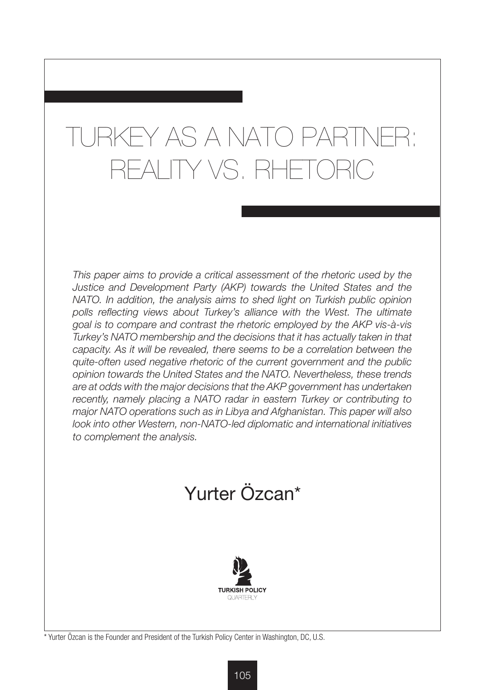# TURKEY AS A NATO PARTNER: REALITY VS. RHETORIC

*This paper aims to provide a critical assessment of the rhetoric used by the Justice and Development Party (AKP) towards the United States and the NATO. In addition, the analysis aims to shed light on Turkish public opinion*  polls reflecting views about Turkey's alliance with the West. The ultimate *goal is to compare and contrast the rhetoric employed by the AKP vis-à-vis Turkey's NATO membership and the decisions that it has actually taken in that capacity. As it will be revealed, there seems to be a correlation between the quite-often used negative rhetoric of the current government and the public opinion towards the United States and the NATO. Nevertheless, these trends are at odds with the major decisions that the AKP government has undertaken*  recently, namely placing a NATO radar in eastern Turkey or contributing to *major NATO operations such as in Libya and Afghanistan. This paper will also look into other Western, non-NATO-led diplomatic and international initiatives to complement the analysis.*





\* Yurter Özcan is the Founder and President of the Turkish Policy Center in Washington, DC, U.S.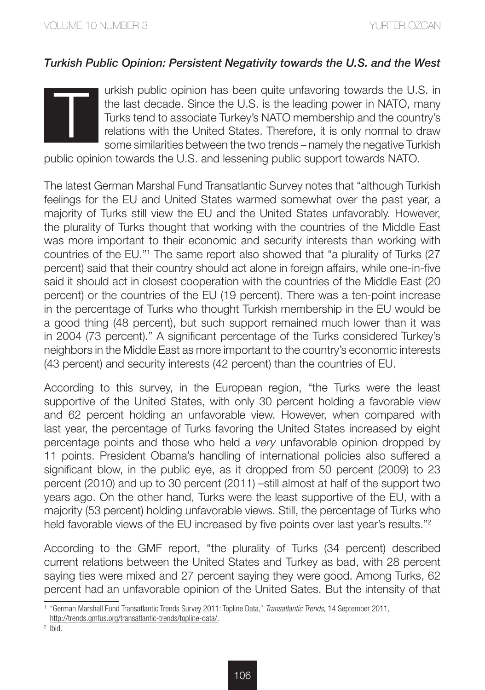# *Turkish Public Opinion: Persistent Negativity towards the U.S. and the West*



urkish public opinion has been quite unfavoring towards the U.S. in the last decade. Since the U.S. is the leading power in NATO, many Turks tend to associate Turkey's NATO membership and the country's relations with the United States. Therefore, it is only normal to draw some similarities between the two trends – namely the negative Turkish

public opinion towards the U.S. and lessening public support towards NATO.

The latest German Marshal Fund Transatlantic Survey notes that "although Turkish feelings for the EU and United States warmed somewhat over the past year, a majority of Turks still view the EU and the United States unfavorably. However, the plurality of Turks thought that working with the countries of the Middle East was more important to their economic and security interests than working with countries of the EU."1 The same report also showed that "a plurality of Turks (27 percent) said that their country should act alone in foreign affairs, while one-in-five said it should act in closest cooperation with the countries of the Middle East (20 percent) or the countries of the EU (19 percent). There was a ten-point increase in the percentage of Turks who thought Turkish membership in the EU would be a good thing (48 percent), but such support remained much lower than it was in 2004 (73 percent)." A significant percentage of the Turks considered Turkey's neighbors in the Middle East as more important to the country's economic interests (43 percent) and security interests (42 percent) than the countries of EU.

According to this survey, in the European region, "the Turks were the least supportive of the United States, with only 30 percent holding a favorable view and 62 percent holding an unfavorable view. However, when compared with last year, the percentage of Turks favoring the United States increased by eight percentage points and those who held a *very* unfavorable opinion dropped by 11 points. President Obama's handling of international policies also suffered a significant blow, in the public eye, as it dropped from 50 percent (2009) to 23 percent (2010) and up to 30 percent (2011) –still almost at half of the support two years ago. On the other hand, Turks were the least supportive of the EU, with a majority (53 percent) holding unfavorable views. Still, the percentage of Turks who held favorable views of the EU increased by five points over last year's results."<sup>2</sup>

According to the GMF report, "the plurality of Turks (34 percent) described current relations between the United States and Turkey as bad, with 28 percent saying ties were mixed and 27 percent saying they were good. Among Turks, 62 percent had an unfavorable opinion of the United Sates. But the intensity of that

 $2$  Ibid.

<sup>1</sup> "German Marshall Fund Transatlantic Trends Survey 2011: Topline Data," *Transatlantic Trends,* 14 September 2011,

http://trends.gmfus.org/transatlantic-trends/topline-data/.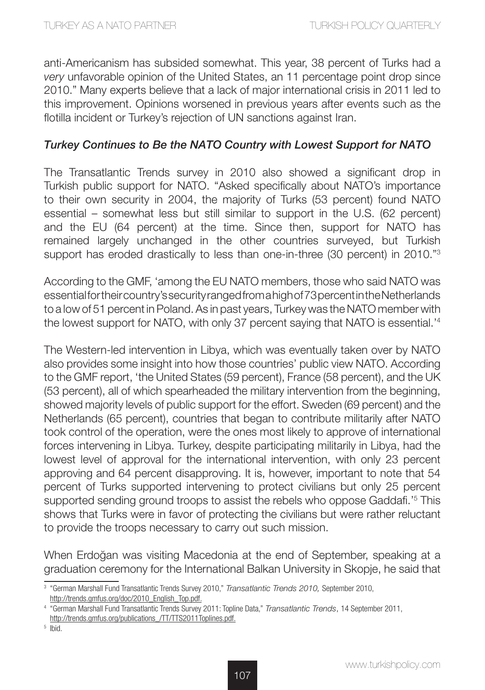anti-Americanism has subsided somewhat. This year, 38 percent of Turks had a *very* unfavorable opinion of the United States, an 11 percentage point drop since 2010." Many experts believe that a lack of major international crisis in 2011 led to this improvement. Opinions worsened in previous years after events such as the flotilla incident or Turkey's rejection of UN sanctions against Iran.

## *Turkey Continues to Be the NATO Country with Lowest Support for NATO*

The Transatlantic Trends survey in 2010 also showed a significant drop in Turkish public support for NATO. "Asked specifically about NATO's importance to their own security in 2004, the majority of Turks (53 percent) found NATO essential – somewhat less but still similar to support in the U.S. (62 percent) and the EU (64 percent) at the time. Since then, support for NATO has remained largely unchanged in the other countries surveyed, but Turkish support has eroded drastically to less than one-in-three (30 percent) in 2010."<sup>3</sup>

According to the GMF, 'among the EU NATO members, those who said NATO was essential for their country's security ranged from a high of 73 percent in the Netherlands to a low of 51 percent in Poland. As in past years, Turkey was the NATO member with the lowest support for NATO, with only 37 percent saying that NATO is essential.'4

The Western-led intervention in Libya, which was eventually taken over by NATO also provides some insight into how those countries' public view NATO. According to the GMF report, 'the United States (59 percent), France (58 percent), and the UK (53 percent), all of which spearheaded the military intervention from the beginning, showed majority levels of public support for the effort. Sweden (69 percent) and the Netherlands (65 percent), countries that began to contribute militarily after NATO took control of the operation, were the ones most likely to approve of international forces intervening in Libya. Turkey, despite participating militarily in Libya, had the lowest level of approval for the international intervention, with only 23 percent approving and 64 percent disapproving. It is, however, important to note that 54 percent of Turks supported intervening to protect civilians but only 25 percent supported sending ground troops to assist the rebels who oppose Gaddafi.'<sup>5</sup> This shows that Turks were in favor of protecting the civilians but were rather reluctant to provide the troops necessary to carry out such mission.

When Erdoğan was visiting Macedonia at the end of September, speaking at a graduation ceremony for the International Balkan University in Skopje, he said that

<sup>3</sup> "German Marshall Fund Transatlantic Trends Survey 2010," *Transatlantic Trends 2010,* September 2010, http://trends.gmfus.org/doc/2010\_English\_Top.pdf.

<sup>4</sup> "German Marshall Fund Transatlantic Trends Survey 2011: Topline Data," *Transatlantic Trends*, 14 September 2011, http://trends.gmfus.org/publications\_/TT/TTS2011Toplines.pdf.

 $5$  Ibid.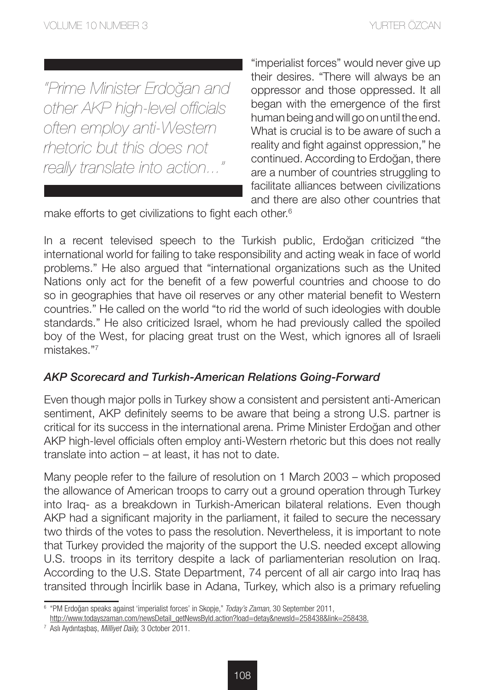*"Prime Minister Erdoğan and other AKP high-level officials often employ anti-Western rhetoric but this does not really translate into action..."* 

"imperialist forces" would never give up their desires. "There will always be an oppressor and those oppressed. It all began with the emergence of the first human being and will go on until the end. What is crucial is to be aware of such a reality and fight against oppression," he continued. According to Erdoğan, there are a number of countries struggling to facilitate alliances between civilizations and there are also other countries that

make efforts to get civilizations to fight each other.<sup>6</sup>

In a recent televised speech to the Turkish public, Erdoğan criticized "the international world for failing to take responsibility and acting weak in face of world problems." He also argued that "international organizations such as the United Nations only act for the benefit of a few powerful countries and choose to do so in geographies that have oil reserves or any other material benefit to Western countries." He called on the world "to rid the world of such ideologies with double standards." He also criticized Israel, whom he had previously called the spoiled boy of the West, for placing great trust on the West, which ignores all of Israeli mistakes."7

#### *AKP Scorecard and Turkish-American Relations Going-Forward*

Even though major polls in Turkey show a consistent and persistent anti-American sentiment, AKP definitely seems to be aware that being a strong U.S. partner is critical for its success in the international arena. Prime Minister Erdoğan and other AKP high-level officials often employ anti-Western rhetoric but this does not really translate into action – at least, it has not to date.

Many people refer to the failure of resolution on 1 March 2003 – which proposed the allowance of American troops to carry out a ground operation through Turkey into Iraq- as a breakdown in Turkish-American bilateral relations. Even though AKP had a significant majority in the parliament, it failed to secure the necessary two thirds of the votes to pass the resolution. Nevertheless, it is important to note that Turkey provided the majority of the support the U.S. needed except allowing U.S. troops in its territory despite a lack of parliamenterian resolution on Iraq. According to the U.S. State Department, 74 percent of all air cargo into Iraq has transited through İncirlik base in Adana, Turkey, which also is a primary refueling

<sup>6</sup> "PM Erdoğan speaks against 'imperialist forces' in Skopje," *Today's Zaman,* 30 September 2011,

http://www.todayszaman.com/newsDetail\_getNewsByld.action?load=detay&newsld=258438&link=258438.<br><sup>7</sup> Aslı Aydıntasbas, *Milliyet Daily,* 3 October 2011.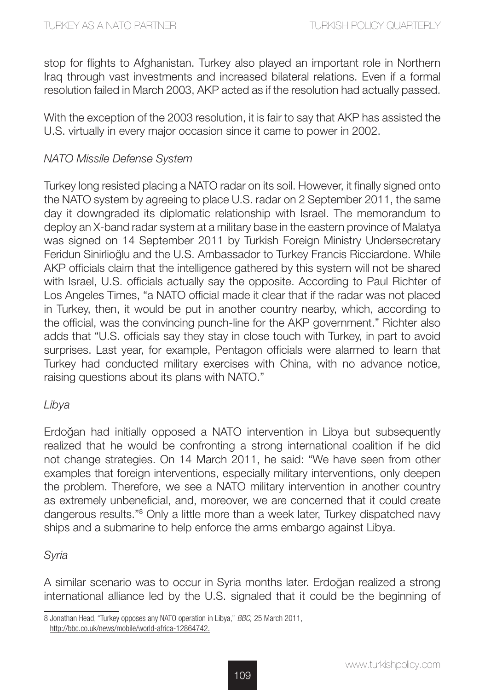stop for flights to Afghanistan. Turkey also played an important role in Northern Iraq through vast investments and increased bilateral relations. Even if a formal resolution failed in March 2003, AKP acted as if the resolution had actually passed.

With the exception of the 2003 resolution, it is fair to say that AKP has assisted the U.S. virtually in every major occasion since it came to power in 2002.

### *NATO Missile Defense System*

Turkey long resisted placing a NATO radar on its soil. However, it finally signed onto the NATO system by agreeing to place U.S. radar on 2 September 2011, the same day it downgraded its diplomatic relationship with Israel. The memorandum to deploy an X-band radar system at a military base in the eastern province of Malatya was signed on 14 September 2011 by Turkish Foreign Ministry Undersecretary Feridun Sinirlioğlu and the U.S. Ambassador to Turkey Francis Ricciardone. While AKP officials claim that the intelligence gathered by this system will not be shared with Israel, U.S. officials actually say the opposite. According to Paul Richter of Los Angeles Times, "a NATO official made it clear that if the radar was not placed in Turkey, then, it would be put in another country nearby, which, according to the official, was the convincing punch-line for the AKP government." Richter also adds that "U.S. officials say they stay in close touch with Turkey, in part to avoid surprises. Last year, for example, Pentagon officials were alarmed to learn that Turkey had conducted military exercises with China, with no advance notice, raising questions about its plans with NATO."

#### *Libya*

Erdoğan had initially opposed a NATO intervention in Libya but subsequently realized that he would be confronting a strong international coalition if he did not change strategies. On 14 March 2011, he said: "We have seen from other examples that foreign interventions, especially military interventions, only deepen the problem. Therefore, we see a NATO military intervention in another country as extremely unbeneficial, and, moreover, we are concerned that it could create dangerous results."<sup>8</sup> Only a little more than a week later, Turkey dispatched navy ships and a submarine to help enforce the arms embargo against Libya.

#### *Syria*

A similar scenario was to occur in Syria months later. Erdoğan realized a strong international alliance led by the U.S. signaled that it could be the beginning of

<sup>8</sup> Jonathan Head, "Turkey opposes any NATO operation in Libya," *BBC,* 25 March 2011, http://bbc.co.uk/news/mobile/world-africa-12864742.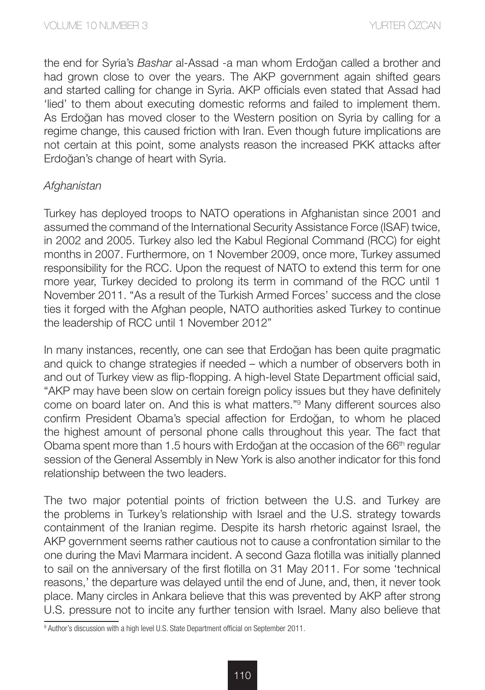the end for Syria's *Bashar* al-Assad -a man whom Erdoğan called a brother and had grown close to over the years. The AKP government again shifted gears and started calling for change in Syria. AKP officials even stated that Assad had 'lied' to them about executing domestic reforms and failed to implement them. As Erdoğan has moved closer to the Western position on Syria by calling for a regime change, this caused friction with Iran. Even though future implications are not certain at this point, some analysts reason the increased PKK attacks after Erdoğan's change of heart with Syria.

## *Afghanistan*

Turkey has deployed troops to NATO operations in Afghanistan since 2001 and assumed the command of the International Security Assistance Force (ISAF) twice, in 2002 and 2005. Turkey also led the Kabul Regional Command (RCC) for eight months in 2007. Furthermore, on 1 November 2009, once more, Turkey assumed responsibility for the RCC. Upon the request of NATO to extend this term for one more year, Turkey decided to prolong its term in command of the RCC until 1 November 2011. "As a result of the Turkish Armed Forces' success and the close ties it forged with the Afghan people, NATO authorities asked Turkey to continue the leadership of RCC until 1 November 2012"

In many instances, recently, one can see that Erdoğan has been quite pragmatic and quick to change strategies if needed – which a number of observers both in and out of Turkey view as flip-flopping. A high-level State Department official said, "AKP may have been slow on certain foreign policy issues but they have definitely come on board later on. And this is what matters."9 Many different sources also confirm President Obama's special affection for Erdoğan, to whom he placed the highest amount of personal phone calls throughout this year. The fact that Obama spent more than 1.5 hours with Erdoğan at the occasion of the 66<sup>th</sup> regular session of the General Assembly in New York is also another indicator for this fond relationship between the two leaders.

The two major potential points of friction between the U.S. and Turkey are the problems in Turkey's relationship with Israel and the U.S. strategy towards containment of the Iranian regime. Despite its harsh rhetoric against Israel, the AKP government seems rather cautious not to cause a confrontation similar to the one during the Mavi Marmara incident. A second Gaza flotilla was initially planned to sail on the anniversary of the first flotilla on 31 May 2011. For some 'technical reasons,' the departure was delayed until the end of June, and, then, it never took place. Many circles in Ankara believe that this was prevented by AKP after strong U.S. pressure not to incite any further tension with Israel. Many also believe that

<sup>&</sup>lt;sup>9</sup> Author's discussion with a high level U.S. State Department official on September 2011.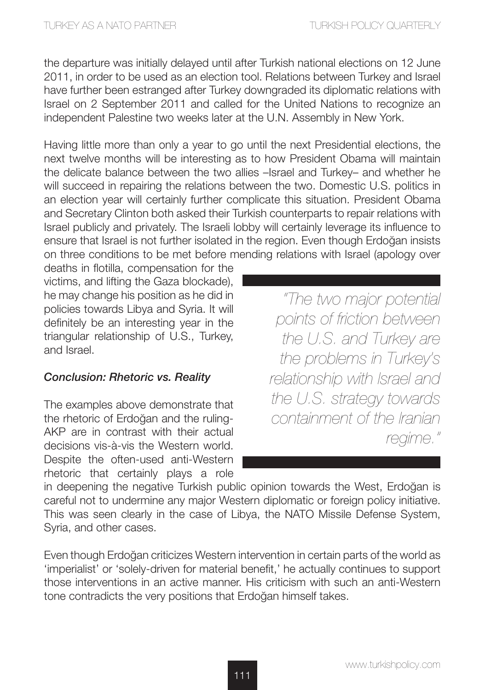the departure was initially delayed until after Turkish national elections on 12 June 2011, in order to be used as an election tool. Relations between Turkey and Israel have further been estranged after Turkey downgraded its diplomatic relations with Israel on 2 September 2011 and called for the United Nations to recognize an independent Palestine two weeks later at the U.N. Assembly in New York.

Having little more than only a year to go until the next Presidential elections, the next twelve months will be interesting as to how President Obama will maintain the delicate balance between the two allies –Israel and Turkey– and whether he will succeed in repairing the relations between the two. Domestic U.S. politics in an election year will certainly further complicate this situation. President Obama and Secretary Clinton both asked their Turkish counterparts to repair relations with Israel publicly and privately. The Israeli lobby will certainly leverage its influence to ensure that Israel is not further isolated in the region. Even though Erdoğan insists on three conditions to be met before mending relations with Israel (apology over

deaths in flotilla, compensation for the victims, and lifting the Gaza blockade), he may change his position as he did in policies towards Libya and Syria. It will definitely be an interesting year in the triangular relationship of U.S., Turkey, and Israel.

# *Conclusion: Rhetoric vs. Reality*

The examples above demonstrate that the rhetoric of Erdoğan and the ruling-AKP are in contrast with their actual decisions vis-à-vis the Western world. Despite the often-used anti-Western rhetoric that certainly plays a role

*"The two major potential points of friction between the U.S. and Turkey are the problems in Turkey's relationship with Israel and the U.S. strategy towards containment of the Iranian regime."*

in deepening the negative Turkish public opinion towards the West, Erdoğan is careful not to undermine any major Western diplomatic or foreign policy initiative. This was seen clearly in the case of Libya, the NATO Missile Defense System, Syria, and other cases.

Even though Erdoğan criticizes Western intervention in certain parts of the world as 'imperialist' or 'solely-driven for material benefit,' he actually continues to support those interventions in an active manner. His criticism with such an anti-Western tone contradicts the very positions that Erdoğan himself takes.